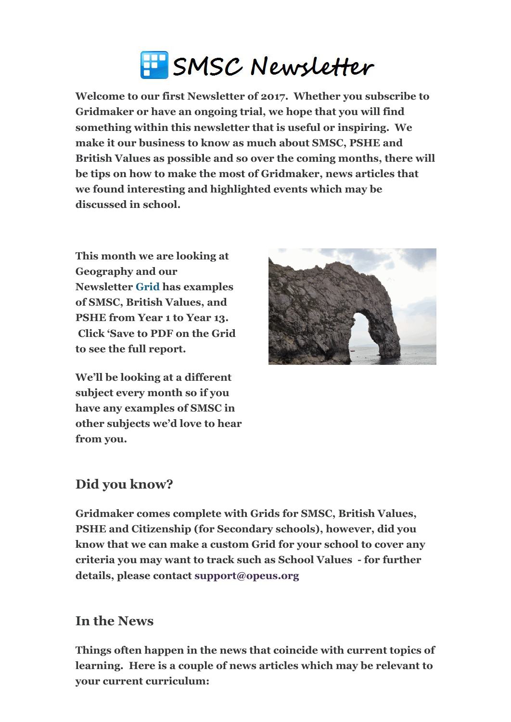# SMSC Newsletter

**Welcome to our first Newsletter of 2017. Whether you subscribe to Gridmaker or have an ongoing trial, we hope that you will find something within this newsletter that is useful or inspiring. We make it our business to know as much about SMSC, PSHE and British Values as possible and so over the coming months, there will be tips on how to make the most of Gridmaker, news articles that we found interesting and highlighted events which may be discussed in school.** 

**This month we are looking at Geography and our Newsletter [Grid](http://www.gridmaker.net/newsletter/view) has examples of SMSC, British Values, and PSHE from Year 1 to Year 13. Click 'Save to PDF on the Grid to see the full report.**

**We'll be looking at a different subject every month so if you have any examples of SMSC in other subjects we'd love to hear from you.**



## **Did you know?**

**Gridmaker comes complete with Grids for SMSC, British Values, PSHE and Citizenship (for Secondary schools), however, did you know that we can make a custom Grid for your school to cover any criteria you may want to track such as School Values for further details, please contact [support@opeus.org](mailto:support@opeus.org)**

#### **In the News**

**Things often happen in the news that coincide with current topics of learning. Here is a couple of news articles which may be relevant to your current curriculum:**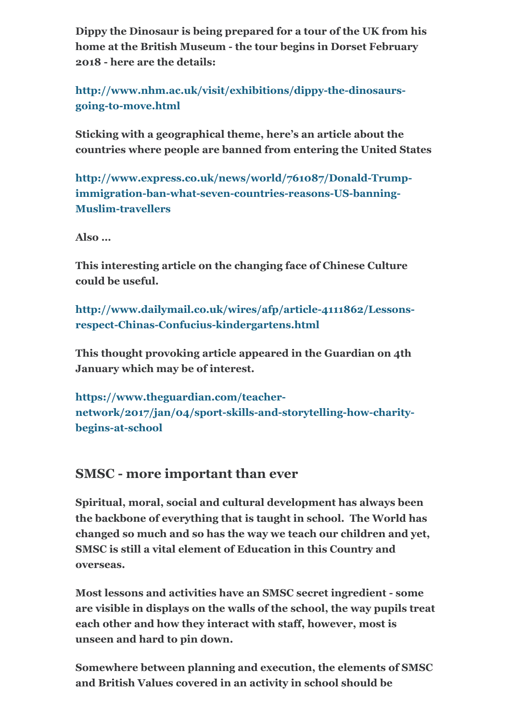**Dippy the Dinosaur is being prepared for a tour of the UK from his home at the British Museum the tour begins in Dorset February 2018 here are the details:**

http://www.nhm.ac.uk/visit/exhibitions/dippy-the-dinosaursgoing-to-move.html

**Sticking with a geographical theme, here's an article about the countries where people are banned from entering the United States**

http://www.express.co.uk/news/world/761087/Donald-Trumpimmigration-ban-what-seven-countries-reasons-US-banning-**Muslim-travellers** 

**Also …**

**This interesting article on the changing face of Chinese Culture could be useful.**

http://www.dailymail.co.uk/wires/afp/article-4111862/Lessonsrespect-Chinas-Confucius-kindergartens.html

**This thought provoking article appeared in the Guardian on 4th January which may be of interest.**

**https://www.theguardian.com/teacher**network/2017/jan/04/sport-skills-and-storytelling-how-charity**begins-at-school** 

## **SMSC - more important than ever**

**Spiritual, moral, social and cultural development has always been the backbone of everything that is taught in school. The World has changed so much and so has the way we teach our children and yet, SMSC is still a vital element of Education in this Country and overseas.**

**Most lessons and activities have an SMSC secret ingredient some are visible in displays on the walls of the school, the way pupils treat each other and how they interact with staff, however, most is unseen and hard to pin down.** 

**Somewhere between planning and execution, the elements of SMSC and British Values covered in an activity in school should be**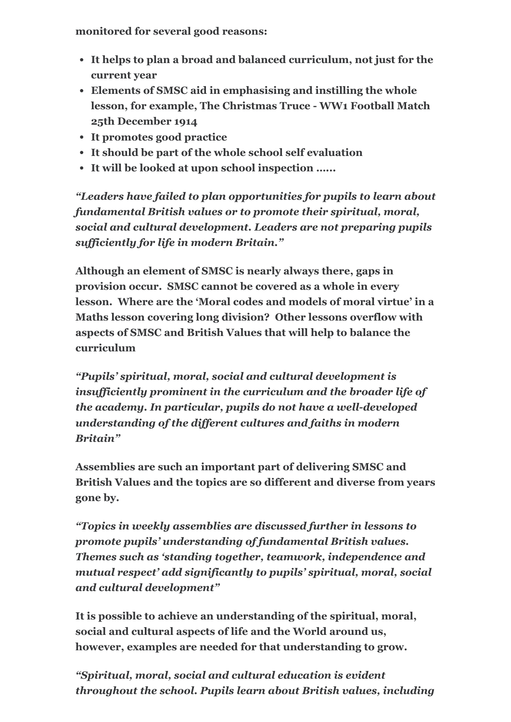**monitored for several good reasons:**

- **It helps to plan a broad and balanced curriculum, not just for the current year**
- **Elements of SMSC aid in emphasising and instilling the whole** lesson, for example, The Christmas Truce - WW1 Football Match **25th December 1914**
- **It promotes good practice**
- **It should be part of the whole school self evaluation**
- **It will be looked at upon school inspection …...**

*"Leaders have failed to plan opportunities for pupils to learn about fundamental British values or to promote their spiritual, moral, social and cultural development. Leaders are not preparing pupils sufficiently for life in modern Britain."*

**Although an element of SMSC is nearly always there, gaps in provision occur. SMSC cannot be covered as a whole in every lesson. Where are the 'Moral codes and models of moral virtue' in a Maths lesson covering long division? Other lessons overflow with aspects of SMSC and British Values that will help to balance the curriculum**

*"Pupils' spiritual, moral, social and cultural development is insufficiently prominent in the curriculum and the broader life of the academy. In particular, pupils do not have a well-developed understanding of the different cultures and faiths in modern Britain"*

**Assemblies are such an important part of delivering SMSC and British Values and the topics are so different and diverse from years gone by.**

*"Topics in weekly assemblies are discussed further in lessons to promote pupils' understanding of fundamental British values. Themes such as 'standing together, teamwork, independence and mutual respect' add significantly to pupils' spiritual, moral, social and cultural development"*

**It is possible to achieve an understanding of the spiritual, moral, social and cultural aspects of life and the World around us, however, examples are needed for that understanding to grow.**

*"Spiritual, moral, social and cultural education is evident throughout the school. Pupils learn about British values, including*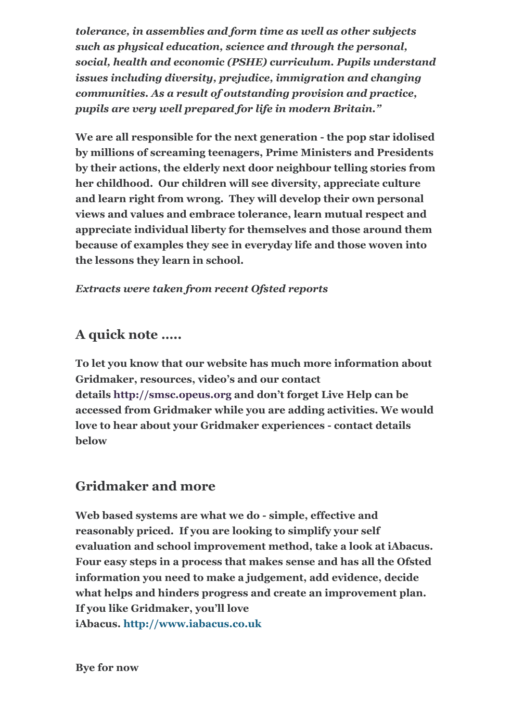*tolerance, in assemblies and form time as well as other subjects such as physical education, science and through the personal, social, health and economic (PSHE) curriculum. Pupils understand issues including diversity, prejudice, immigration and changing communities. As a result of outstanding provision and practice, pupils are very well prepared for life in modern Britain."*

**We are all responsible for the next generation the pop star idolised by millions of screaming teenagers, Prime Ministers and Presidents by their actions, the elderly next door neighbour telling stories from her childhood. Our children will see diversity, appreciate culture and learn right from wrong. They will develop their own personal views and values and embrace tolerance, learn mutual respect and appreciate individual liberty for themselves and those around them because of examples they see in everyday life and those woven into the lessons they learn in school.**

#### *Extracts were taken from recent Ofsted reports*

## **A quick note …..**

**To let you know that our website has much more information about Gridmaker, resources, video's and our contact details [http://smsc.opeus.org](http://smsc.opeus.org/) and don't forget Live Help can be accessed from Gridmaker while you are adding activities. We would** love to hear about your Gridmaker experiences - contact details **below**

## **Gridmaker and more**

**Web based systems are what we do simple, effective and reasonably priced. If you are looking to simplify your self evaluation and school improvement method, take a look at iAbacus. Four easy steps in a process that makes sense and has all the Ofsted information you need to make a judgement, add evidence, decide what helps and hinders progress and create an improvement plan. If you like Gridmaker, you'll love iAbacus. [http://www.iabacus.co.uk](http://www.iabacus.co.uk/)**